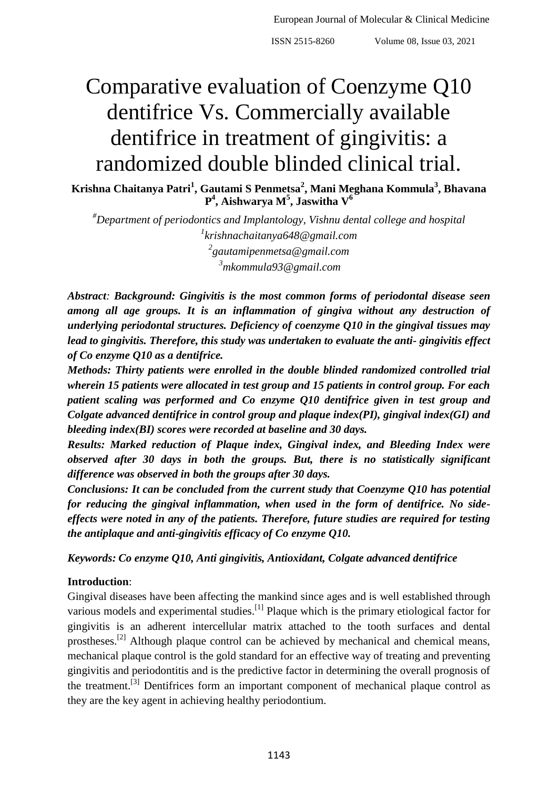ISSN 2515-8260 Volume 08, Issue 03, 2021

# Comparative evaluation of Coenzyme Q10 dentifrice Vs. Commercially available dentifrice in treatment of gingivitis: a randomized double blinded clinical trial.

**Krishna Chaitanya Patri<sup>1</sup> , Gautami S Penmetsa<sup>2</sup> , Mani Meghana Kommula<sup>3</sup> , Bhavana P 4 , Aishwarya M<sup>5</sup> , Jaswitha V<sup>6</sup>**

*#Department of periodontics and Implantology, Vishnu dental college and hospital krishnachaitanya648@gmail.com gautamipenmetsa@gmail.com mkommula93@gmail.com*

*Abstract: Background: Gingivitis is the most common forms of periodontal disease seen among all age groups. It is an inflammation of gingiva without any destruction of underlying periodontal structures. Deficiency of coenzyme Q10 in the gingival tissues may lead to gingivitis. Therefore, this study was undertaken to evaluate the anti- gingivitis effect of Co enzyme Q10 as a dentifrice.*

*Methods: Thirty patients were enrolled in the double blinded randomized controlled trial wherein 15 patients were allocated in test group and 15 patients in control group. For each patient scaling was performed and Co enzyme Q10 dentifrice given in test group and Colgate advanced dentifrice in control group and plaque index(PI), gingival index(GI) and bleeding index(BI) scores were recorded at baseline and 30 days.*

*Results: Marked reduction of Plaque index, Gingival index, and Bleeding Index were observed after 30 days in both the groups. But, there is no statistically significant difference was observed in both the groups after 30 days.*

*Conclusions: It can be concluded from the current study that Coenzyme Q10 has potential for reducing the gingival inflammation, when used in the form of dentifrice. No sideeffects were noted in any of the patients. Therefore, future studies are required for testing the antiplaque and anti-gingivitis efficacy of Co enzyme Q10.*

*Keywords: Co enzyme Q10, Anti gingivitis, Antioxidant, Colgate advanced dentifrice*

# **Introduction**:

Gingival diseases have been affecting the mankind since ages and is well established through various models and experimental studies.<sup>[1]</sup> Plaque which is the primary etiological factor for gingivitis is an adherent intercellular matrix attached to the tooth surfaces and dental prostheses.<sup>[2]</sup> Although plaque control can be achieved by mechanical and chemical means, mechanical plaque control is the gold standard for an effective way of treating and preventing gingivitis and periodontitis and is the predictive factor in determining the overall prognosis of the treatment.<sup>[3]</sup> Dentifrices form an important component of mechanical plaque control as they are the key agent in achieving healthy periodontium.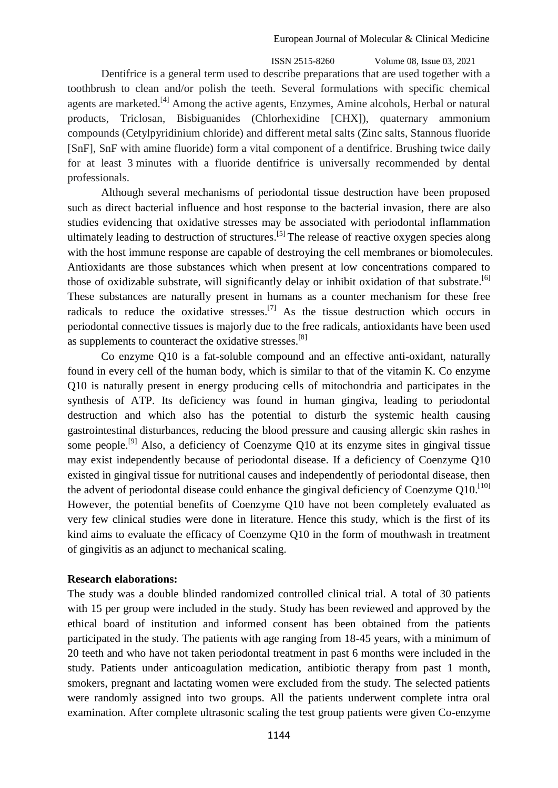ISSN 2515-8260 Volume 08, Issue 03, 2021 Dentifrice is a general term used to describe preparations that are used together with a toothbrush to clean and/or polish the teeth. Several formulations with specific chemical agents are marketed.<sup>[4]</sup> Among the active agents, Enzymes, Amine alcohols, Herbal or natural products, Triclosan, Bisbiguanides (Chlorhexidine [CHX]), quaternary ammonium compounds (Cetylpyridinium chloride) and different metal salts (Zinc salts, Stannous fluoride [SnF], SnF with amine fluoride) form a vital component of a dentifrice. Brushing twice daily for at least 3 minutes with a fluoride dentifrice is universally recommended by dental professionals.

Although several mechanisms of periodontal tissue destruction have been proposed such as direct bacterial influence and host response to the bacterial invasion, there are also studies evidencing that oxidative stresses may be associated with periodontal inflammation ultimately leading to destruction of structures.<sup>[5]</sup> The release of reactive oxygen species along with the host immune response are capable of destroying the cell membranes or biomolecules. Antioxidants are those substances which when present at low concentrations compared to those of oxidizable substrate, will significantly delay or inhibit oxidation of that substrate.  $\left[6\right]$ These substances are naturally present in humans as a counter mechanism for these free radicals to reduce the oxidative stresses.<sup>[7]</sup> As the tissue destruction which occurs in periodontal connective tissues is majorly due to the free radicals, antioxidants have been used as supplements to counteract the oxidative stresses.<sup>[8]</sup>

Co enzyme Q10 is a fat-soluble compound and an effective anti-oxidant, naturally found in every cell of the human body, which is similar to that of the vitamin K. Co enzyme Q10 is naturally present in energy producing cells of mitochondria and participates in the synthesis of ATP. Its deficiency was found in human gingiva, leading to periodontal destruction and which also has the potential to disturb the systemic health causing gastrointestinal disturbances, reducing the blood pressure and causing allergic skin rashes in some people.<sup>[9]</sup> Also, a deficiency of Coenzyme Q10 at its enzyme sites in gingival tissue may exist independently because of periodontal disease. If a deficiency of Coenzyme Q10 existed in gingival tissue for nutritional causes and independently of periodontal disease, then the advent of periodontal disease could enhance the gingival deficiency of Coenzyme  $Q10$ .<sup>[10]</sup> However, the potential benefits of Coenzyme Q10 have not been completely evaluated as very few clinical studies were done in literature. Hence this study, which is the first of its kind aims to evaluate the efficacy of Coenzyme Q10 in the form of mouthwash in treatment of gingivitis as an adjunct to mechanical scaling.

## **Research elaborations:**

The study was a double blinded randomized controlled clinical trial. A total of 30 patients with 15 per group were included in the study. Study has been reviewed and approved by the ethical board of institution and informed consent has been obtained from the patients participated in the study. The patients with age ranging from 18-45 years, with a minimum of 20 teeth and who have not taken periodontal treatment in past 6 months were included in the study. Patients under anticoagulation medication, antibiotic therapy from past 1 month, smokers, pregnant and lactating women were excluded from the study. The selected patients were randomly assigned into two groups. All the patients underwent complete intra oral examination. After complete ultrasonic scaling the test group patients were given Co-enzyme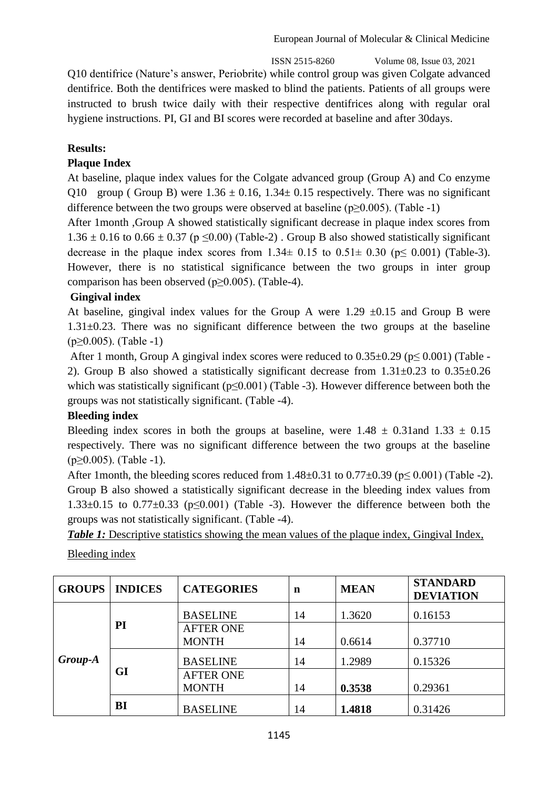ISSN 2515-8260 Volume 08, Issue 03, 2021

Q10 dentifrice (Nature's answer, Periobrite) while control group was given Colgate advanced dentifrice. Both the dentifrices were masked to blind the patients. Patients of all groups were instructed to brush twice daily with their respective dentifrices along with regular oral hygiene instructions. PI, GI and BI scores were recorded at baseline and after 30days.

# **Results:**

## **Plaque Index**

At baseline, plaque index values for the Colgate advanced group (Group A) and Co enzyme Q10 group ( Group B) were  $1.36 \pm 0.16$ ,  $1.34 \pm 0.15$  respectively. There was no significant difference between the two groups were observed at baseline ( $p \ge 0.005$ ). (Table -1)

After 1month ,Group A showed statistically significant decrease in plaque index scores from  $1.36 \pm 0.16$  to  $0.66 \pm 0.37$  (p  $\leq 0.00$ ) (Table-2). Group B also showed statistically significant decrease in the plaque index scores from  $1.34 \pm 0.15$  to  $0.51 \pm 0.30$  ( $p \le 0.001$ ) (Table-3). However, there is no statistical significance between the two groups in inter group comparison has been observed (p≥0.005). (Table-4).

## **Gingival index**

At baseline, gingival index values for the Group A were  $1.29 \pm 0.15$  and Group B were 1.31±0.23. There was no significant difference between the two groups at the baseline  $(p \ge 0.005)$ . (Table -1)

After 1 month, Group A gingival index scores were reduced to  $0.35\pm0.29$  ( $p< 0.001$ ) (Table -2). Group B also showed a statistically significant decrease from  $1.31\pm0.23$  to  $0.35\pm0.26$ which was statistically significant ( $p<0.001$ ) (Table -3). However difference between both the groups was not statistically significant. (Table -4).

## **Bleeding index**

Bleeding index scores in both the groups at baseline, were  $1.48 \pm 0.31$  and  $1.33 \pm 0.15$ respectively. There was no significant difference between the two groups at the baseline  $(p \ge 0.005)$ . (Table -1).

After 1month, the bleeding scores reduced from  $1.48\pm0.31$  to  $0.77\pm0.39$  ( $p \le 0.001$ ) (Table -2). Group B also showed a statistically significant decrease in the bleeding index values from 1.33 $\pm$ 0.15 to 0.77 $\pm$ 0.33 (p $\leq$ 0.001) (Table -3). However the difference between both the groups was not statistically significant. (Table -4).

*Table 1:* Descriptive statistics showing the mean values of the plaque index, Gingival Index,

| <b>GROUPS</b> | <b>INDICES</b> | <b>CATEGORIES</b> | n  | <b>MEAN</b> | <b>STANDARD</b><br><b>DEVIATION</b> |
|---------------|----------------|-------------------|----|-------------|-------------------------------------|
|               |                | <b>BASELINE</b>   | 14 | 1.3620      | 0.16153                             |
|               | PI             | <b>AFTER ONE</b>  |    |             |                                     |
|               |                | <b>MONTH</b>      | 14 | 0.6614      | 0.37710                             |
| Group-A       |                | <b>BASELINE</b>   | 14 | 1.2989      | 0.15326                             |
|               | GI             | <b>AFTER ONE</b>  |    |             |                                     |
|               |                | <b>MONTH</b>      | 14 | 0.3538      | 0.29361                             |
|               | BI             | <b>BASELINE</b>   | 14 | 1.4818      | 0.31426                             |

Bleeding index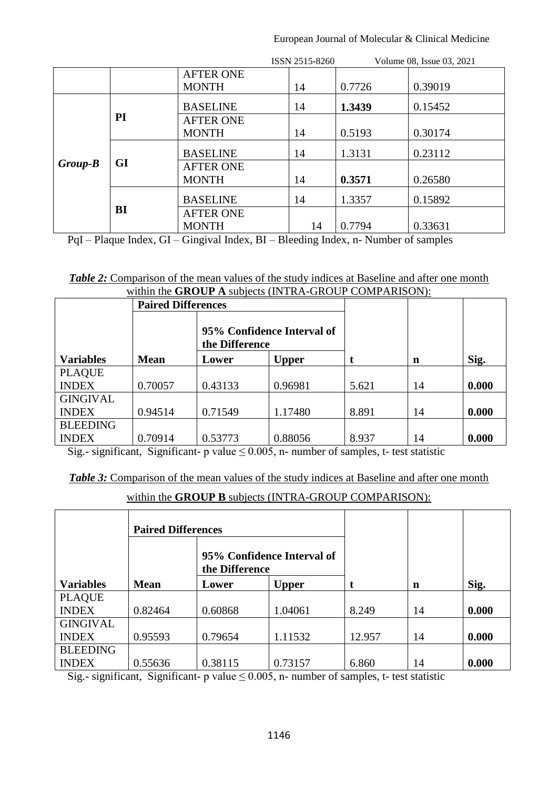## European Journal of Molecular & Clinical Medicine

|           |           |                  | ISSN 2515-8260 |        | Volume 08, Issue 03, 2021 |
|-----------|-----------|------------------|----------------|--------|---------------------------|
|           |           | <b>AFTER ONE</b> |                |        |                           |
|           |           | <b>MONTH</b>     | 14             | 0.7726 | 0.39019                   |
|           |           | <b>BASELINE</b>  | 14             | 1.3439 | 0.15452                   |
|           | PI        | <b>AFTER ONE</b> |                |        |                           |
|           |           | <b>MONTH</b>     | 14             | 0.5193 | 0.30174                   |
|           |           | <b>BASELINE</b>  | 14             | 1.3131 | 0.23112                   |
| $Group-B$ | <b>GI</b> | <b>AFTER ONE</b> |                |        |                           |
|           |           | <b>MONTH</b>     | 14             | 0.3571 | 0.26580                   |
|           |           | <b>BASELINE</b>  | 14             | 1.3357 | 0.15892                   |
|           | BI        | <b>AFTER ONE</b> |                |        |                           |
|           |           | <b>MONTH</b>     | 14             | 0.7794 | 0.33631                   |

PqI – Plaque Index, GI – Gingival Index, BI – Bleeding Index, n- Number of samples

| <b>Table 2:</b> Comparison of the mean values of the study indices at Baseline and after one month |  |
|----------------------------------------------------------------------------------------------------|--|
| within the <b>GROUP</b> A subjects (INTRA-GROUP COMPARISON):                                       |  |

|                  | <b>Paired Differences</b> |                |                            |       |    |       |
|------------------|---------------------------|----------------|----------------------------|-------|----|-------|
|                  |                           | the Difference | 95% Confidence Interval of |       |    |       |
| <b>Variables</b> | <b>Mean</b>               | Lower          | <b>Upper</b>               |       | n  | Sig.  |
| <b>PLAQUE</b>    |                           |                |                            |       |    |       |
| <b>INDEX</b>     | 0.70057                   | 0.43133        | 0.96981                    | 5.621 | 14 | 0.000 |
| <b>GINGIVAL</b>  |                           |                |                            |       |    |       |
| <b>INDEX</b>     | 0.94514                   | 0.71549        | 1.17480                    | 8.891 | 14 | 0.000 |
| <b>BLEEDING</b>  |                           |                |                            |       |    |       |
| <b>INDEX</b>     | 0.70914                   | 0.53773        | 0.88056                    | 8.937 | 14 | 0.000 |

Sig.- significant, Significant- p value  $\leq 0.005$ , n- number of samples, t- test statistic

**Table 3:** Comparison of the mean values of the study indices at Baseline and after one month

within the **GROUP B** subjects (INTRA-GROUP COMPARISON):

|                  | <b>Paired Differences</b> |                |                            |        |    |       |
|------------------|---------------------------|----------------|----------------------------|--------|----|-------|
|                  |                           | the Difference | 95% Confidence Interval of |        |    |       |
| <b>Variables</b> | <b>Mean</b>               | Lower          | <b>Upper</b>               |        | n  | Sig.  |
| <b>PLAQUE</b>    |                           |                |                            |        |    |       |
| <b>INDEX</b>     | 0.82464                   | 0.60868        | 1.04061                    | 8.249  | 14 | 0.000 |
| <b>GINGIVAL</b>  |                           |                |                            |        |    |       |
| <b>INDEX</b>     | 0.95593                   | 0.79654        | 1.11532                    | 12.957 | 14 | 0.000 |
| <b>BLEEDING</b>  |                           |                |                            |        |    |       |
| <b>INDEX</b>     | 0.55636                   | 0.38115        | 0.73157                    | 6.860  | 14 | 0.000 |

Sig.- significant, Significant- p value  $\leq 0.005$ , n- number of samples, t- test statistic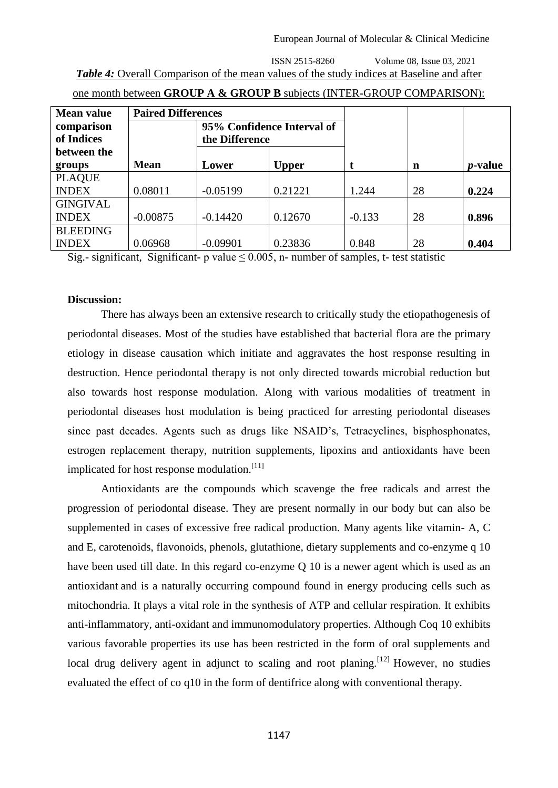# ISSN 2515-8260 Volume 08, Issue 03, 2021 *Table 4:* Overall Comparison of the mean values of the study indices at Baseline and after

| <b>Mean value</b> | <b>Paired Differences</b> |                |                            |          |    |                 |
|-------------------|---------------------------|----------------|----------------------------|----------|----|-----------------|
| comparison        |                           |                | 95% Confidence Interval of |          |    |                 |
| of Indices        |                           | the Difference |                            |          |    |                 |
| between the       |                           |                |                            |          |    |                 |
| groups            | <b>Mean</b>               | Lower          | <b>Upper</b>               |          | n  | <i>p</i> -value |
| <b>PLAQUE</b>     |                           |                |                            |          |    |                 |
| <b>INDEX</b>      | 0.08011                   | $-0.05199$     | 0.21221                    | 1.244    | 28 | 0.224           |
| <b>GINGIVAL</b>   |                           |                |                            |          |    |                 |
| <b>INDEX</b>      | $-0.00875$                | $-0.14420$     | 0.12670                    | $-0.133$ | 28 | 0.896           |
| <b>BLEEDING</b>   |                           |                |                            |          |    |                 |
| <b>INDEX</b>      | 0.06968                   | $-0.09901$     | 0.23836                    | 0.848    | 28 | 0.404           |

|--|

Sig.- significant, Significant- p value  $\leq 0.005$ , n- number of samples, t- test statistic

#### **Discussion:**

There has always been an extensive research to critically study the etiopathogenesis of periodontal diseases. Most of the studies have established that bacterial flora are the primary etiology in disease causation which initiate and aggravates the host response resulting in destruction. Hence periodontal therapy is not only directed towards microbial reduction but also towards host response modulation. Along with various modalities of treatment in periodontal diseases host modulation is being practiced for arresting periodontal diseases since past decades. Agents such as drugs like NSAID's, Tetracyclines, bisphosphonates, estrogen replacement therapy, nutrition supplements, lipoxins and antioxidants have been implicated for host response modulation.<sup>[11]</sup>

Antioxidants are the compounds which scavenge the free radicals and arrest the progression of periodontal disease. They are present normally in our body but can also be supplemented in cases of excessive free radical production. Many agents like vitamin- A, C and E, carotenoids, flavonoids, phenols, glutathione, dietary supplements and co-enzyme q 10 have been used till date. In this regard co-enzyme Q 10 is a newer agent which is used as an antioxidant and is a naturally occurring compound found in energy producing cells such as mitochondria. It plays a vital role in the synthesis of ATP and cellular respiration. It exhibits anti-inflammatory, anti-oxidant and immunomodulatory properties. Although Coq 10 exhibits various favorable properties its use has been restricted in the form of oral supplements and local drug delivery agent in adjunct to scaling and root planing.<sup>[12]</sup> However, no studies evaluated the effect of co q10 in the form of dentifrice along with conventional therapy.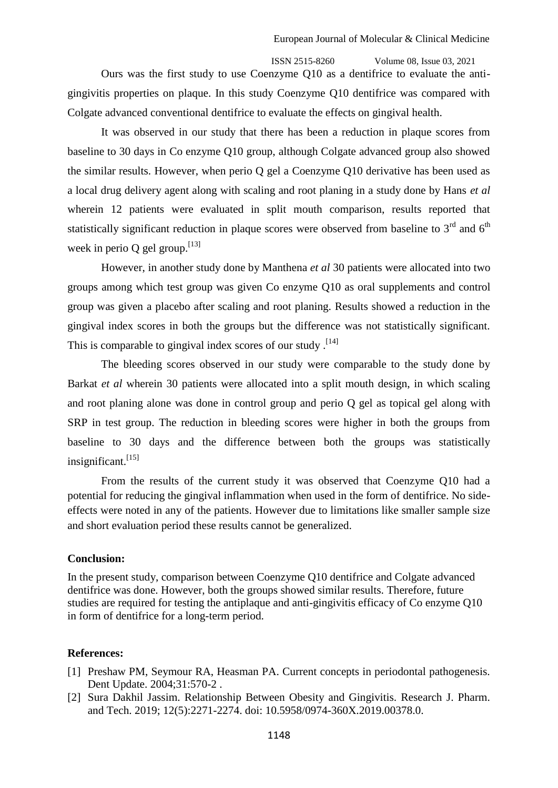ISSN 2515-8260 Volume 08, Issue 03, 2021 Ours was the first study to use Coenzyme Q10 as a dentifrice to evaluate the antigingivitis properties on plaque. In this study Coenzyme Q10 dentifrice was compared with Colgate advanced conventional dentifrice to evaluate the effects on gingival health.

It was observed in our study that there has been a reduction in plaque scores from baseline to 30 days in Co enzyme Q10 group, although Colgate advanced group also showed the similar results. However, when perio Q gel a Coenzyme Q10 derivative has been used as a local drug delivery agent along with scaling and root planing in a study done by Hans *et al* wherein 12 patients were evaluated in split mouth comparison, results reported that statistically significant reduction in plaque scores were observed from baseline to  $3<sup>rd</sup>$  and  $6<sup>th</sup>$ week in perio Q gel group.  $^{[13]}$ 

However, in another study done by Manthena *et al* 30 patients were allocated into two groups among which test group was given Co enzyme Q10 as oral supplements and control group was given a placebo after scaling and root planing. Results showed a reduction in the gingival index scores in both the groups but the difference was not statistically significant. This is comparable to gingival index scores of our study.<sup>[14]</sup>

The bleeding scores observed in our study were comparable to the study done by Barkat *et al* wherein 30 patients were allocated into a split mouth design, in which scaling and root planing alone was done in control group and perio Q gel as topical gel along with SRP in test group. The reduction in bleeding scores were higher in both the groups from baseline to 30 days and the difference between both the groups was statistically insignificant. $^{[15]}$ 

From the results of the current study it was observed that Coenzyme Q10 had a potential for reducing the gingival inflammation when used in the form of dentifrice. No sideeffects were noted in any of the patients. However due to limitations like smaller sample size and short evaluation period these results cannot be generalized.

#### **Conclusion:**

In the present study, comparison between Coenzyme Q10 dentifrice and Colgate advanced dentifrice was done. However, both the groups showed similar results. Therefore, future studies are required for testing the antiplaque and anti-gingivitis efficacy of Co enzyme Q10 in form of dentifrice for a long-term period.

#### **References:**

- [1] Preshaw PM, Seymour RA, Heasman PA. Current concepts in periodontal pathogenesis. Dent Update. 2004;31:570-2 .
- [2] Sura Dakhil Jassim. Relationship Between Obesity and Gingivitis. Research J. Pharm. and Tech. 2019; 12(5):2271-2274. doi: 10.5958/0974-360X.2019.00378.0.